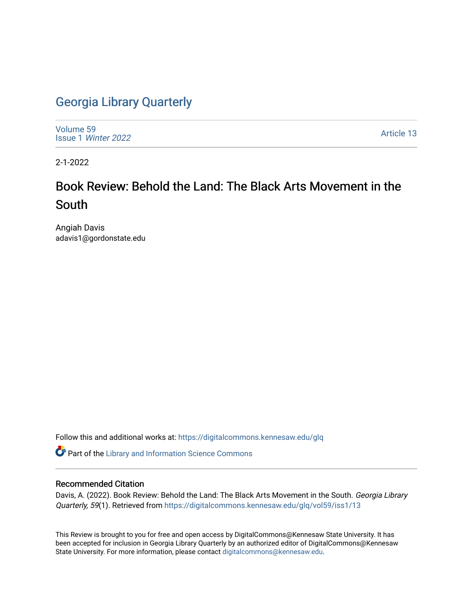## [Georgia Library Quarterly](https://digitalcommons.kennesaw.edu/glq)

[Volume 59](https://digitalcommons.kennesaw.edu/glq/vol59) Issue 1 [Winter 2022](https://digitalcommons.kennesaw.edu/glq/vol59/iss1) 

[Article 13](https://digitalcommons.kennesaw.edu/glq/vol59/iss1/13) 

2-1-2022

# Book Review: Behold the Land: The Black Arts Movement in the South

Angiah Davis adavis1@gordonstate.edu

Follow this and additional works at: [https://digitalcommons.kennesaw.edu/glq](https://digitalcommons.kennesaw.edu/glq?utm_source=digitalcommons.kennesaw.edu%2Fglq%2Fvol59%2Fiss1%2F13&utm_medium=PDF&utm_campaign=PDFCoverPages) 

Part of the [Library and Information Science Commons](http://network.bepress.com/hgg/discipline/1018?utm_source=digitalcommons.kennesaw.edu%2Fglq%2Fvol59%2Fiss1%2F13&utm_medium=PDF&utm_campaign=PDFCoverPages) 

### Recommended Citation

Davis, A. (2022). Book Review: Behold the Land: The Black Arts Movement in the South. Georgia Library Quarterly, 59(1). Retrieved from [https://digitalcommons.kennesaw.edu/glq/vol59/iss1/13](https://digitalcommons.kennesaw.edu/glq/vol59/iss1/13?utm_source=digitalcommons.kennesaw.edu%2Fglq%2Fvol59%2Fiss1%2F13&utm_medium=PDF&utm_campaign=PDFCoverPages)

This Review is brought to you for free and open access by DigitalCommons@Kennesaw State University. It has been accepted for inclusion in Georgia Library Quarterly by an authorized editor of DigitalCommons@Kennesaw State University. For more information, please contact [digitalcommons@kennesaw.edu.](mailto:digitalcommons@kennesaw.edu)